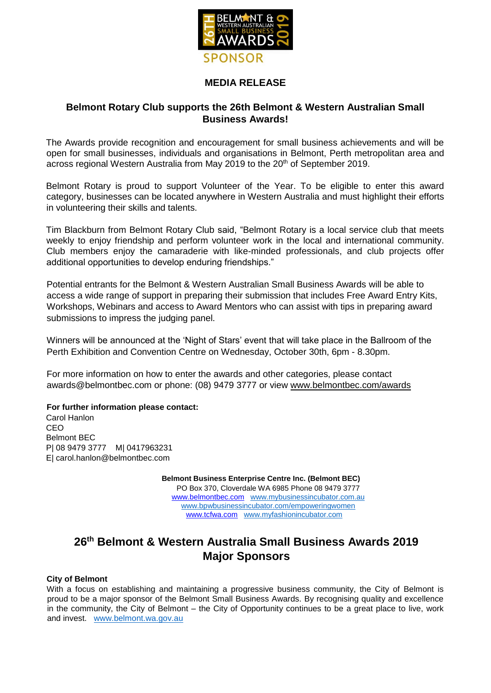

## **MEDIA RELEASE**

## **Belmont Rotary Club supports the 26th Belmont & Western Australian Small Business Awards!**

The Awards provide recognition and encouragement for small business achievements and will be open for small businesses, individuals and organisations in Belmont, Perth metropolitan area and across regional Western Australia from May 2019 to the 20<sup>th</sup> of September 2019.

Belmont Rotary is proud to support Volunteer of the Year. To be eligible to enter this award category, businesses can be located anywhere in Western Australia and must highlight their efforts in volunteering their skills and talents.

Tim Blackburn from Belmont Rotary Club said, "Belmont Rotary is a local service club that meets weekly to enjoy friendship and perform volunteer work in the local and international community. Club members enjoy the camaraderie with like-minded professionals, and club projects offer additional opportunities to develop enduring friendships."

Potential entrants for the Belmont & Western Australian Small Business Awards will be able to access a wide range of support in preparing their submission that includes Free Award Entry Kits, Workshops, Webinars and access to Award Mentors who can assist with tips in preparing award submissions to impress the judging panel.

Winners will be announced at the 'Night of Stars' event that will take place in the Ballroom of the Perth Exhibition and Convention Centre on Wednesday, October 30th, 6pm - 8.30pm.

For more information on how to enter the awards and other categories, please contact awards@belmontbec.com or phone: (08) 9479 3777 or view [www.belmontbec.com/awards](http://www.belmontbec.com/awards)

#### **For further information please contact:**

Carol Hanlon CEO Belmont BEC P| 08 9479 3777 M| 0417963231 E| carol.hanlon@belmontbec.com

> **Belmont Business Enterprise Centre Inc. (Belmont BEC)** PO Box 370, Cloverdale WA 6985 Phone 08 9479 3777 [www.belmontbec.com](http://www.belmontbec.com/) [www.mybusinessincubator.com.au](http://www.mybusinessincubator.com.au/) [www.bpwbusinessincubator.com/empoweringwomen](http://www.bpwbusinessincubator.com/empoweringwomen)  [www.tcfwa.com](http://www.tcfwa.com/) [www.myfashionincubator.com](http://www.tcfaustralia.com/)

# **26th Belmont & Western Australia Small Business Awards 2019 Major Sponsors**

#### **City of Belmont**

With a focus on establishing and maintaining a progressive business community, the City of Belmont is proud to be a major sponsor of the Belmont Small Business Awards. By recognising quality and excellence in the community, the City of Belmont – the City of Opportunity continues to be a great place to live, work and invest. [www.belmont.wa.gov.au](http://www.belmont.wa.gov.au/)